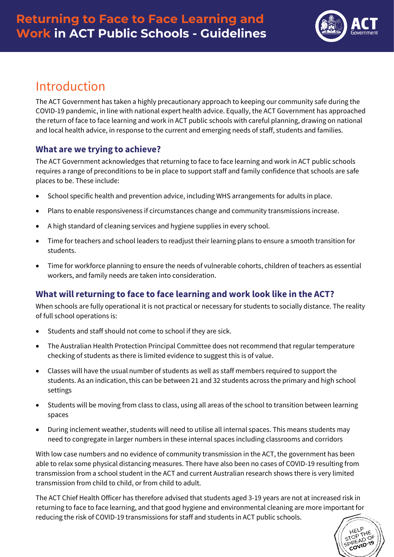

# Introduction

The ACT Government has taken a highly precautionary approach to keeping our community safe during the COVID-19 pandemic, in line with national expert health advice. Equally, the ACT Government has approached the return of face to face learning and work in ACT public schools with careful planning, drawing on national and local health advice, in response to the current and emerging needs of staff, students and families.

### **What are we trying to achieve?**

The ACT Government acknowledges that returning to face to face learning and work in ACT public schools requires a range of preconditions to be in place to support staff and family confidence that schools are safe places to be. These include:

- School specific health and prevention advice, including WHS arrangements for adults in place.
- Plans to enable responsiveness if circumstances change and community transmissions increase.
- A high standard of cleaning services and hygiene supplies in every school.
- Time for teachers and school leaders to readjust their learning plans to ensure a smooth transition for students.
- Time for workforce planning to ensure the needs of vulnerable cohorts, children of teachers as essential workers, and family needs are taken into consideration.

# **What will returning to face to face learning and work look like in the ACT?**

When schools are fully operational it is not practical or necessary for students to socially distance. The reality of full school operations is:

- Students and staff should not come to school if they are sick.
- The Australian Health Protection Principal Committee does not recommend that regular temperature checking of students as there is limited evidence to suggest this is of value.
- Classes will have the usual number of students as well as staff members required to support the students. As an indication, this can be between 21 and 32 students across the primary and high school settings
- Students will be moving from class to class, using all areas of the school to transition between learning spaces
- During inclement weather, students will need to utilise all internal spaces. This means students may need to congregate in larger numbers in these internal spaces including classrooms and corridors

With low case numbers and no evidence of community transmission in the ACT, the government has been able to relax some physical distancing measures. There have also been no cases of COVID-19 resulting from transmission from a school student in the ACT and current Australian research shows there is very limited transmission from child to child, or from child to adult.

The ACT Chief Health Officer has therefore advised that students aged 3-19 years are not at increased risk in returning to face to face learning, and that good hygiene and environmental cleaning are more important for reducing the risk of COVID-19 transmissions for staff and students in ACT public schools.

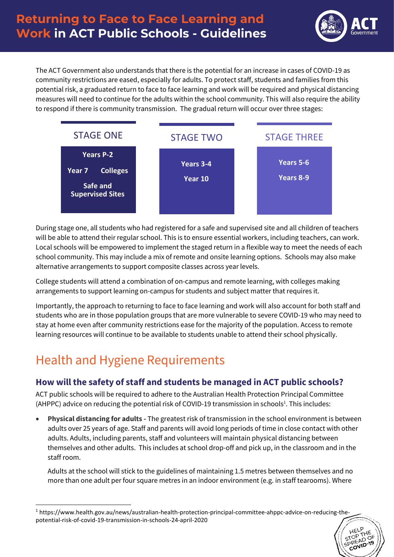

**NOT** 

The ACT Government also understands that there is the potential for an increase in cases of COVID-19 as community restrictions are eased, especially for adults. To protect staff, students and families from this potential risk, a graduated return to face to face learning and work will be required and physical distancing measures will need to continue for the adults within the school community. This will also require the ability to respond if there is community transmission. The gradual return will occur over three stages:



During stage one, all students who had registered for a safe and supervised site and all children of teachers will be able to attend their regular school. This is to ensure essential workers, including teachers, can work. Local schools will be empowered to implement the staged return in a flexible way to meet the needs of each school community. This may include a mix of remote and onsite learning options. Schools may also make alternative arrangements to support composite classes across year levels.

College students will attend a combination of on-campus and remote learning, with colleges making arrangements to support learning on-campus for students and subject matter that requires it.

Importantly, the approach to returning to face to face learning and work will also account for both staff and students who are in those population groups that are more vulnerable to severe COVID-19 who may need to stay at home even after community restrictions ease for the majority of the population. Access to remote learning resources will continue to be available to students unable to attend their school physically.

# Health and Hygiene Requirements

# **How will the safety of staff and students be managed in ACT public schools?**

ACT public schools will be required to adhere to the Australian Health Protection Principal Committee (AHPPC) advice on reducing the potential risk of COVID-19 transmission in schools<sup>1</sup>. This includes:

• **Physical distancing for adults -** The greatest risk of transmission in the school environment is between adults over 25 years of age. Staff and parents will avoid long periods of time in close contact with other adults. Adults, including parents, staff and volunteers will maintain physical distancing between themselves and other adults. This includes at school drop-off and pick up, in the classroom and in the staff room.

Adults at the school will stick to the guidelines of maintaining 1.5 metres between themselves and no more than one adult per four square metres in an indoor environment (e.g. in staff tearooms). Where

<sup>1</sup> [https://www.health.gov.au/news/australian-health-protection-principal-committee-ahppc-advice-on-reducing-the](https://www.health.gov.au/news/australian-health-protection-principal-committee-ahppc-advice-on-reducing-the-potential-risk-of-covid-19-transmission-in-schools-24-april-2020)[potential-risk-of-covid-19-transmission-in-schools-24-april-2020](https://www.health.gov.au/news/australian-health-protection-principal-committee-ahppc-advice-on-reducing-the-potential-risk-of-covid-19-transmission-in-schools-24-april-2020)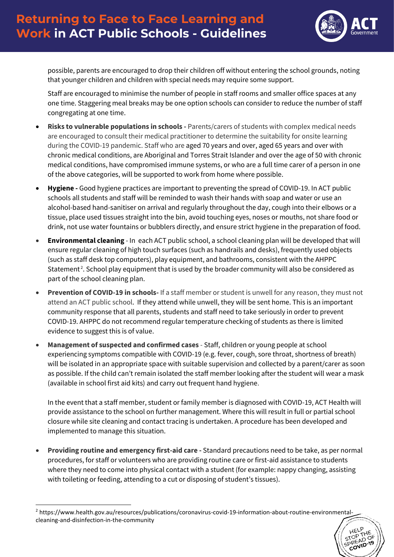

Ö

possible, parents are encouraged to drop their children off without entering the school grounds, noting that younger children and children with special needs may require some support.

Staff are encouraged to minimise the number of people in staff rooms and smaller office spaces at any one time. Staggering meal breaks may be one option schools can consider to reduce the number of staff congregating at one time.

- **Risks to vulnerable populations in schools -** Parents/carers of students with complex medical needs are encouraged to consult their medical practitioner to determine the suitability for onsite learning during the COVID-19 pandemic. Staff who are aged 70 years and over, aged 65 years and over with chronic medical conditions, are Aboriginal and Torres Strait Islander and over the age of 50 with chronic medical conditions, have compromised immune systems, or who are a full time carer of a person in one of the above categories, will be supported to work from home where possible.
- **Hygiene -** Good hygiene practices are important to preventing the spread of COVID-19. In ACT public schools all students and staff will be reminded to wash their hands with soap and water or use an alcohol-based hand-sanitiser on arrival and regularly throughout the day, cough into their elbows or a tissue, place used tissues straight into the bin, avoid touching eyes, noses or mouths, not share food or drink, not use water fountains or bubblers directly, and ensure strict hygiene in the preparation of food.
- **Environmental cleaning** In each ACT public school, a school cleaning plan will be developed that will ensure regular cleaning of high touch surfaces (such as handrails and desks), frequently used objects (such as staff desk top computers), play equipment, and bathrooms, consistent with the AHPPC Statement<sup>2</sup>. School play equipment that is used by the broader community will also be considered as part of the school cleaning plan.
- **Prevention of COVID-19 in schools-** If a staff member or student is unwell for any reason, they must not attend an ACT public school. If they attend while unwell, they will be sent home. This is an important community response that all parents, students and staff need to take seriously in order to prevent COVID-19. AHPPC do not recommend regular temperature checking of students as there is limited evidence to suggest this is of value.
- **Management of suspected and confirmed cases** Staff, children or young people at school experiencing symptoms compatible with COVID-19 (e.g. fever, cough, sore throat, shortness of breath) will be isolated in an appropriate space with suitable supervision and collected by a parent/carer as soon as possible. If the child can't remain isolated the staff member looking after the student will wear a mask (available in school first aid kits) and carry out frequent hand hygiene.

In the event that a staff member, student or family member is diagnosed with COVID-19, ACT Health will provide assistance to the school on further management. Where this will result in full or partial school closure while site cleaning and contact tracing is undertaken. A procedure has been developed and implemented to manage this situation.

• **Providing routine and emergency first-aid care -** Standard precautions need to be take, as per normal procedures, for staff or volunteers who are providing routine care or first-aid assistance to students where they need to come into physical contact with a student (for example: nappy changing, assisting with toileting or feeding, attending to a cut or disposing of student's tissues).

<sup>2</sup> [https://www.health.gov.au/resources/publications/coronavirus-covid-19-information-about-routine-environmental](https://www.health.gov.au/resources/publications/coronavirus-covid-19-information-about-routine-environmental-cleaning-and-disinfection-in-the-community)[cleaning-and-disinfection-in-the-community](https://www.health.gov.au/resources/publications/coronavirus-covid-19-information-about-routine-environmental-cleaning-and-disinfection-in-the-community)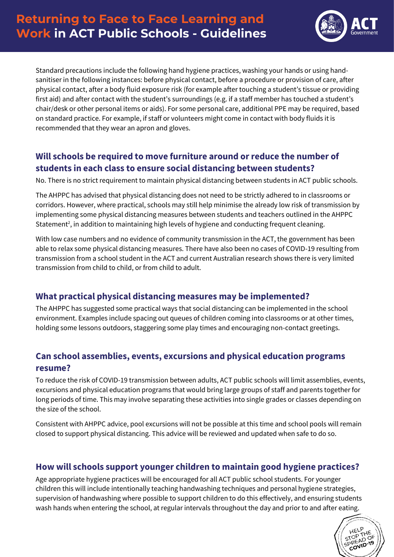# **Returning to Face to Face Learning and Work in ACT Public Schools - Guidelines**



Standard precautions include the following hand hygiene practices, washing your hands or using handsanitiser in the following instances: before physical contact, before a procedure or provision of care, after physical contact, after a body fluid exposure risk (for example after touching a student's tissue or providing first aid) and after contact with the student's surroundings (e.g. if a staff member has touched a student's chair/desk or other personal items or aids). For some personal care, additional PPE may be required, based on standard practice. For example, if staff or volunteers might come in contact with body fluids it is recommended that they wear an apron and gloves.

#### **Will schools be required to move furniture around or reduce the number of students in each class to ensure social distancing between students?**

No. There is no strict requirement to maintain physical distancing between students in ACT public schools.

The AHPPC has advised that physical distancing does not need to be strictly adhered to in classrooms or corridors. However, where practical, schools may still help minimise the already low risk of transmission by implementing some physical distancing measures between students and teachers outlined in the AHPPC Statement<sup>2</sup>, in addition to maintaining high levels of hygiene and conducting frequent cleaning.

With low case numbers and no evidence of community transmission in the ACT, the government has been able to relax some physical distancing measures. There have also been no cases of COVID-19 resulting from transmission from a school student in the ACT and current Australian research shows there is very limited transmission from child to child, or from child to adult.

#### **What practical physical distancing measures may be implemented?**

The AHPPC has suggested some practical ways that social distancing can be implemented in the school environment. Examples include spacing out queues of children coming into classrooms or at other times, holding some lessons outdoors, staggering some play times and encouraging non-contact greetings.

#### **Can school assemblies, events, excursions and physical education programs resume?**

To reduce the risk of COVID-19 transmission between adults, ACT public schools will limit assemblies, events, excursions and physical education programs that would bring large groups of staff and parents together for long periods of time. This may involve separating these activities into single grades or classes depending on the size of the school.

Consistent with AHPPC advice, pool excursions will not be possible at this time and school pools will remain closed to support physical distancing. This advice will be reviewed and updated when safe to do so.

#### **How will schools support younger children to maintain good hygiene practices?**

Age appropriate hygiene practices will be encouraged for all ACT public school students. For younger children this will include intentionally teaching handwashing techniques and personal hygiene strategies, supervision of handwashing where possible to support children to do this effectively, and ensuring students wash hands when entering the school, at regular intervals throughout the day and prior to and after eating.

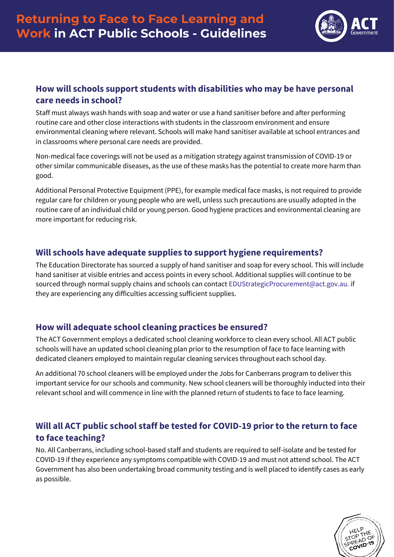

#### **How will schools support students with disabilities who may be have personal care needs in school?**

Staff must always wash hands with soap and water or use a hand sanitiser before and after performing routine care and other close interactions with students in the classroom environment and ensure environmental cleaning where relevant. Schools will make hand sanitiser available at school entrances and in classrooms where personal care needs are provided.

Non-medical face coverings will not be used as a mitigation strategy against transmission of COVID-19 or other similar communicable diseases, as the use of these masks has the potential to create more harm than good.

Additional Personal Protective Equipment (PPE), for example medical face masks, is not required to provide regular care for children or young people who are well, unless such precautions are usually adopted in the routine care of an individual child or young person. Good hygiene practices and environmental cleaning are more important for reducing risk.

#### **Will schools have adequate supplies to support hygiene requirements?**

The Education Directorate has sourced a supply of hand sanitiser and soap for every school. This will include hand sanitiser at visible entries and access points in every school. Additional supplies will continue to be sourced through normal supply chains and schools can contact [EDUStrategicProcurement@act.gov.au.](mailto:EDUStrategicProcurement@act.gov.au) if they are experiencing any difficulties accessing sufficient supplies.

#### **How will adequate school cleaning practices be ensured?**

The ACT Government employs a dedicated school cleaning workforce to clean every school. All ACT public schools will have an updated school cleaning plan prior to the resumption of face to face learning with dedicated cleaners employed to maintain regular cleaning services throughout each school day.

An additional 70 school cleaners will be employed under the Jobs for Canberrans program to deliver this important service for our schools and community. New school cleaners will be thoroughly inducted into their relevant school and will commence in line with the planned return of students to face to face learning.

# **Will all ACT public school staff be tested for COVID-19 prior to the return to face to face teaching?**

No. All Canberrans, including school-based staff and students are required to self-isolate and be tested for COVID-19 if they experience any symptoms compatible with COVID-19 and must not attend school. The ACT Government has also been undertaking broad community testing and is well placed to identify cases as early as possible.